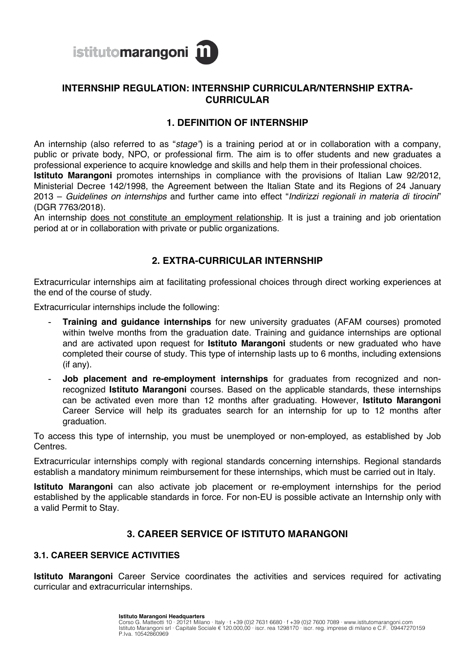

# **INTERNSHIP REGULATION: INTERNSHIP CURRICULAR/NTERNSHIP EXTRA-CURRICULAR**

# **1. DEFINITION OF INTERNSHIP**

An internship (also referred to as "*stage"*) is a training period at or in collaboration with a company, public or private body, NPO, or professional firm. The aim is to offer students and new graduates a professional experience to acquire knowledge and skills and help them in their professional choices. **Istituto Marangoni** promotes internships in compliance with the provisions of Italian Law 92/2012, Ministerial Decree 142/1998, the Agreement between the Italian State and its Regions of 24 January 2013 – *Guidelines on internships* and further came into effect "*Indirizzi regionali in materia di tirocini*" (DGR 7763/2018).

An internship does not constitute an employment relationship. It is just a training and job orientation period at or in collaboration with private or public organizations.

# **2. EXTRA-CURRICULAR INTERNSHIP**

Extracurricular internships aim at facilitating professional choices through direct working experiences at the end of the course of study.

Extracurricular internships include the following:

- **Training and guidance internships** for new university graduates (AFAM courses) promoted within twelve months from the graduation date. Training and guidance internships are optional and are activated upon request for **Istituto Marangoni** students or new graduated who have completed their course of study. This type of internship lasts up to 6 months, including extensions (if any).
- Job placement and re-employment internships for graduates from recognized and nonrecognized **Istituto Marangoni** courses. Based on the applicable standards, these internships can be activated even more than 12 months after graduating. However, **Istituto Marangoni** Career Service will help its graduates search for an internship for up to 12 months after graduation.

To access this type of internship, you must be unemployed or non-employed, as established by Job Centres.

Extracurricular internships comply with regional standards concerning internships. Regional standards establish a mandatory minimum reimbursement for these internships, which must be carried out in Italy.

**Istituto Marangoni** can also activate job placement or re-employment internships for the period established by the applicable standards in force. For non-EU is possible activate an Internship only with a valid Permit to Stay.

### **3. CAREER SERVICE OF ISTITUTO MARANGONI**

#### **3.1. CAREER SERVICE ACTIVITIES**

**Istituto Marangoni** Career Service coordinates the activities and services required for activating curricular and extracurricular internships.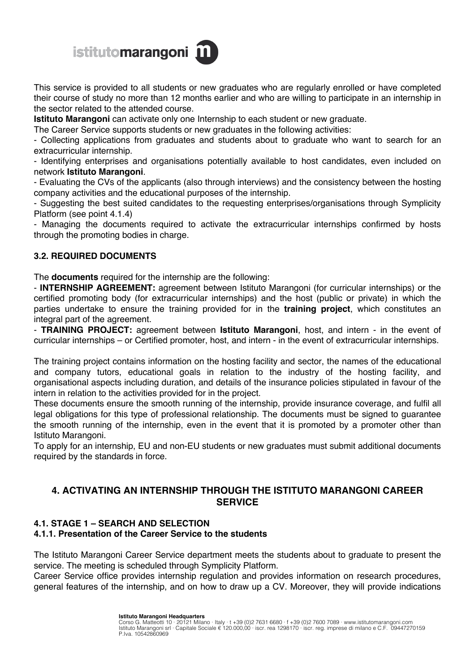# istitutomarangoni m

This service is provided to all students or new graduates who are regularly enrolled or have completed their course of study no more than 12 months earlier and who are willing to participate in an internship in the sector related to the attended course.

**Istituto Marangoni** can activate only one Internship to each student or new graduate.

The Career Service supports students or new graduates in the following activities:

- Collecting applications from graduates and students about to graduate who want to search for an extracurricular internship.

- Identifying enterprises and organisations potentially available to host candidates, even included on network **Istituto Marangoni**.

- Evaluating the CVs of the applicants (also through interviews) and the consistency between the hosting company activities and the educational purposes of the internship.

- Suggesting the best suited candidates to the requesting enterprises/organisations through Symplicity Platform (see point 4.1.4)

- Managing the documents required to activate the extracurricular internships confirmed by hosts through the promoting bodies in charge.

# **3.2. REQUIRED DOCUMENTS**

The **documents** required for the internship are the following:

- **INTERNSHIP AGREEMENT:** agreement between Istituto Marangoni (for curricular internships) or the certified promoting body (for extracurricular internships) and the host (public or private) in which the parties undertake to ensure the training provided for in the **training project**, which constitutes an integral part of the agreement.

- **TRAINING PROJECT:** agreement between **Istituto Marangoni**, host, and intern - in the event of curricular internships – or Certified promoter, host, and intern - in the event of extracurricular internships.

The training project contains information on the hosting facility and sector, the names of the educational and company tutors, educational goals in relation to the industry of the hosting facility, and organisational aspects including duration, and details of the insurance policies stipulated in favour of the intern in relation to the activities provided for in the project.

These documents ensure the smooth running of the internship, provide insurance coverage, and fulfil all legal obligations for this type of professional relationship. The documents must be signed to guarantee the smooth running of the internship, even in the event that it is promoted by a promoter other than Istituto Marangoni.

To apply for an internship, EU and non-EU students or new graduates must submit additional documents required by the standards in force.

# **4. ACTIVATING AN INTERNSHIP THROUGH THE ISTITUTO MARANGONI CAREER SERVICE**

# **4.1. STAGE 1 – SEARCH AND SELECTION**

### **4.1.1. Presentation of the Career Service to the students**

The Istituto Marangoni Career Service department meets the students about to graduate to present the service. The meeting is scheduled through Symplicity Platform.

Career Service office provides internship regulation and provides information on research procedures, general features of the internship, and on how to draw up a CV. Moreover, they will provide indications

#### **Istituto Marangoni Headquarters**

Corso G. Matteotti 10 · 20121 Milano · Italy · t +39 (0)2 7631 6680 · f +39 (0)2 7600 7089 · www.istitutomarangoni.com<br>Istituto Marangoni srl · Capitale Sociale € 120.000,00 · iscr. rea 1298170 · iscr. reg. imprese di mil P.Iva. 10542860969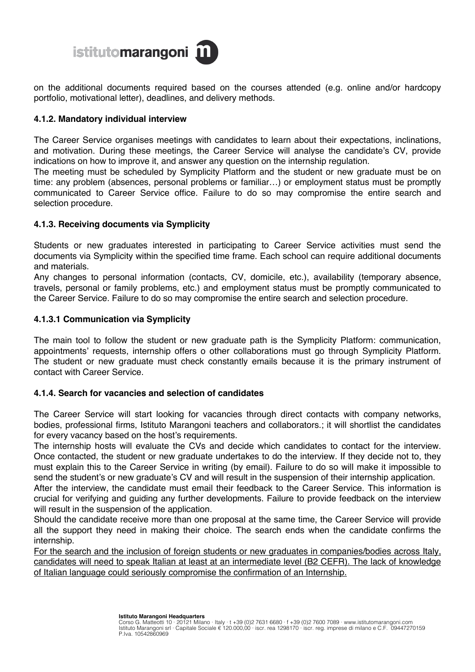

on the additional documents required based on the courses attended (e.g. online and/or hardcopy portfolio, motivational letter), deadlines, and delivery methods.

#### **4.1.2. Mandatory individual interview**

The Career Service organises meetings with candidates to learn about their expectations, inclinations, and motivation. During these meetings, the Career Service will analyse the candidate's CV, provide indications on how to improve it, and answer any question on the internship regulation.

The meeting must be scheduled by Symplicity Platform and the student or new graduate must be on time: any problem (absences, personal problems or familiar…) or employment status must be promptly communicated to Career Service office. Failure to do so may compromise the entire search and selection procedure.

#### **4.1.3. Receiving documents via Symplicity**

Students or new graduates interested in participating to Career Service activities must send the documents via Symplicity within the specified time frame. Each school can require additional documents and materials.

Any changes to personal information (contacts, CV, domicile, etc.), availability (temporary absence, travels, personal or family problems, etc.) and employment status must be promptly communicated to the Career Service. Failure to do so may compromise the entire search and selection procedure.

#### **4.1.3.1 Communication via Symplicity**

The main tool to follow the student or new graduate path is the Symplicity Platform: communication, appointments' requests, internship offers o other collaborations must go through Symplicity Platform. The student or new graduate must check constantly emails because it is the primary instrument of contact with Career Service.

#### **4.1.4. Search for vacancies and selection of candidates**

The Career Service will start looking for vacancies through direct contacts with company networks, bodies, professional firms, Istituto Marangoni teachers and collaborators.; it will shortlist the candidates for every vacancy based on the host's requirements.

The internship hosts will evaluate the CVs and decide which candidates to contact for the interview. Once contacted, the student or new graduate undertakes to do the interview. If they decide not to, they must explain this to the Career Service in writing (by email). Failure to do so will make it impossible to send the student's or new graduate's CV and will result in the suspension of their internship application.

After the interview, the candidate must email their feedback to the Career Service. This information is crucial for verifying and guiding any further developments. Failure to provide feedback on the interview will result in the suspension of the application.

Should the candidate receive more than one proposal at the same time, the Career Service will provide all the support they need in making their choice. The search ends when the candidate confirms the internship.

For the search and the inclusion of foreign students or new graduates in companies/bodies across Italy, candidates will need to speak Italian at least at an intermediate level (B2 CEFR). The lack of knowledge of Italian language could seriously compromise the confirmation of an Internship.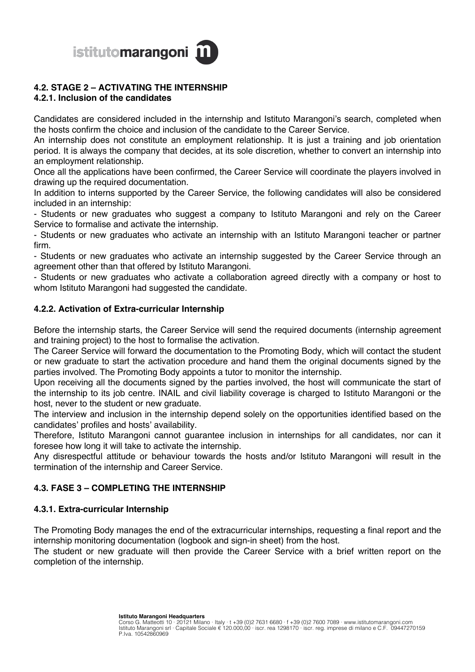

# **4.2. STAGE 2 – ACTIVATING THE INTERNSHIP**

# **4.2.1. Inclusion of the candidates**

Candidates are considered included in the internship and Istituto Marangoni's search, completed when the hosts confirm the choice and inclusion of the candidate to the Career Service.

An internship does not constitute an employment relationship. It is just a training and job orientation period. It is always the company that decides, at its sole discretion, whether to convert an internship into an employment relationship.

Once all the applications have been confirmed, the Career Service will coordinate the players involved in drawing up the required documentation.

In addition to interns supported by the Career Service, the following candidates will also be considered included in an internship:

- Students or new graduates who suggest a company to Istituto Marangoni and rely on the Career Service to formalise and activate the internship.

- Students or new graduates who activate an internship with an Istituto Marangoni teacher or partner firm.

- Students or new graduates who activate an internship suggested by the Career Service through an agreement other than that offered by Istituto Marangoni.

- Students or new graduates who activate a collaboration agreed directly with a company or host to whom Istituto Marangoni had suggested the candidate.

### **4.2.2. Activation of Extra-curricular Internship**

Before the internship starts, the Career Service will send the required documents (internship agreement and training project) to the host to formalise the activation.

The Career Service will forward the documentation to the Promoting Body, which will contact the student or new graduate to start the activation procedure and hand them the original documents signed by the parties involved. The Promoting Body appoints a tutor to monitor the internship.

Upon receiving all the documents signed by the parties involved, the host will communicate the start of the internship to its job centre. INAIL and civil liability coverage is charged to Istituto Marangoni or the host, never to the student or new graduate.

The interview and inclusion in the internship depend solely on the opportunities identified based on the candidates' profiles and hosts' availability.

Therefore, Istituto Marangoni cannot guarantee inclusion in internships for all candidates, nor can it foresee how long it will take to activate the internship.

Any disrespectful attitude or behaviour towards the hosts and/or Istituto Marangoni will result in the termination of the internship and Career Service.

# **4.3. FASE 3 – COMPLETING THE INTERNSHIP**

### **4.3.1. Extra-curricular Internship**

The Promoting Body manages the end of the extracurricular internships, requesting a final report and the internship monitoring documentation (logbook and sign-in sheet) from the host.

The student or new graduate will then provide the Career Service with a brief written report on the completion of the internship.

**Istituto Marangoni Headquarters**